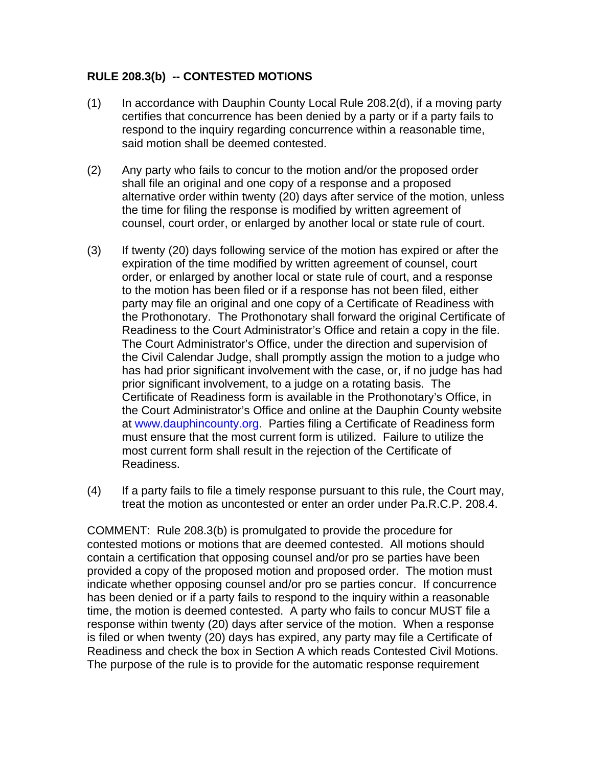## **RULE 208.3(b) -- CONTESTED MOTIONS**

- (1) In accordance with Dauphin County Local Rule 208.2(d), if a moving party certifies that concurrence has been denied by a party or if a party fails to respond to the inquiry regarding concurrence within a reasonable time, said motion shall be deemed contested.
- (2) Any party who fails to concur to the motion and/or the proposed order shall file an original and one copy of a response and a proposed alternative order within twenty (20) days after service of the motion, unless the time for filing the response is modified by written agreement of counsel, court order, or enlarged by another local or state rule of court.
- (3) If twenty (20) days following service of the motion has expired or after the expiration of the time modified by written agreement of counsel, court order, or enlarged by another local or state rule of court, and a response to the motion has been filed or if a response has not been filed, either party may file an original and one copy of a Certificate of Readiness with the Prothonotary. The Prothonotary shall forward the original Certificate of Readiness to the Court Administrator's Office and retain a copy in the file. The Court Administrator's Office, under the direction and supervision of the Civil Calendar Judge, shall promptly assign the motion to a judge who has had prior significant involvement with the case, or, if no judge has had prior significant involvement, to a judge on a rotating basis. The Certificate of Readiness form is available in the Prothonotary's Office, in the Court Administrator's Office and online at the Dauphin County website at www.dauphincounty.org. Parties filing a Certificate of Readiness form must ensure that the most current form is utilized. Failure to utilize the most current form shall result in the rejection of the Certificate of Readiness.
- (4) If a party fails to file a timely response pursuant to this rule, the Court may, treat the motion as uncontested or enter an order under Pa.R.C.P. 208.4.

COMMENT: Rule 208.3(b) is promulgated to provide the procedure for contested motions or motions that are deemed contested. All motions should contain a certification that opposing counsel and/or pro se parties have been provided a copy of the proposed motion and proposed order. The motion must indicate whether opposing counsel and/or pro se parties concur. If concurrence has been denied or if a party fails to respond to the inquiry within a reasonable time, the motion is deemed contested. A party who fails to concur MUST file a response within twenty (20) days after service of the motion. When a response is filed or when twenty (20) days has expired, any party may file a Certificate of Readiness and check the box in Section A which reads Contested Civil Motions. The purpose of the rule is to provide for the automatic response requirement